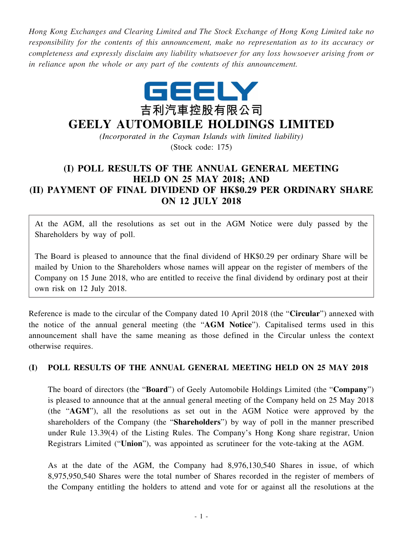*Hong Kong Exchanges and Clearing Limited and The Stock Exchange of Hong Kong Limited take no responsibility for the contents of this announcement, make no representation as to its accuracy or completeness and expressly disclaim any liability whatsoever for any loss howsoever arising from or in reliance upon the whole or any part of the contents of this announcement.*



## **GEELY AUTOMOBILE HOLDINGS LIMITED**

*(Incorporated in the Cayman Islands with limited liability)* (Stock code: 175)

## **(I) POLL RESULTS OF THE ANNUAL GENERAL MEETING HELD ON 25 MAY 2018; AND (II) PAYMENT OF FINAL DIVIDEND OF HK\$0.29 PER ORDINARY SHARE ON 12 JULY 2018**

At the AGM, all the resolutions as set out in the AGM Notice were duly passed by the Shareholders by way of poll.

The Board is pleased to announce that the final dividend of HK\$0.29 per ordinary Share will be mailed by Union to the Shareholders whose names will appear on the register of members of the Company on 15 June 2018, who are entitled to receive the final dividend by ordinary post at their own risk on 12 July 2018.

Reference is made to the circular of the Company dated 10 April 2018 (the "**Circular**") annexed with the notice of the annual general meeting (the "**AGM Notice**"). Capitalised terms used in this announcement shall have the same meaning as those defined in the Circular unless the context otherwise requires.

## **(I) POLL RESULTS OF THE ANNUAL GENERAL MEETING HELD ON 25 MAY 2018**

The board of directors (the "**Board**") of Geely Automobile Holdings Limited (the "**Company**") is pleased to announce that at the annual general meeting of the Company held on 25 May 2018 (the "**AGM**"), all the resolutions as set out in the AGM Notice were approved by the shareholders of the Company (the "**Shareholders**") by way of poll in the manner prescribed under Rule 13.39(4) of the Listing Rules. The Company's Hong Kong share registrar, Union Registrars Limited ("**Union**"), was appointed as scrutineer for the vote-taking at the AGM.

As at the date of the AGM, the Company had 8,976,130,540 Shares in issue, of which 8,975,950,540 Shares were the total number of Shares recorded in the register of members of the Company entitling the holders to attend and vote for or against all the resolutions at the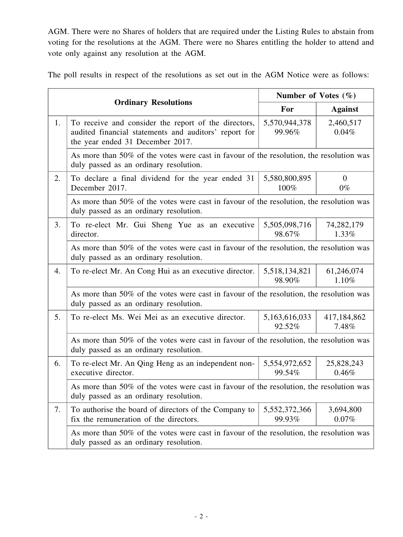AGM. There were no Shares of holders that are required under the Listing Rules to abstain from voting for the resolutions at the AGM. There were no Shares entitling the holder to attend and vote only against any resolution at the AGM.

The poll results in respect of the resolutions as set out in the AGM Notice were as follows:

|    |                                                                                                                                                   | Number of Votes $(\% )$ |                         |  |
|----|---------------------------------------------------------------------------------------------------------------------------------------------------|-------------------------|-------------------------|--|
|    | <b>Ordinary Resolutions</b>                                                                                                                       | For                     | <b>Against</b>          |  |
| 1. | To receive and consider the report of the directors,<br>audited financial statements and auditors' report for<br>the year ended 31 December 2017. | 5,570,944,378<br>99.96% | 2,460,517<br>0.04%      |  |
|    | As more than 50% of the votes were cast in favour of the resolution, the resolution was<br>duly passed as an ordinary resolution.                 |                         |                         |  |
| 2. | To declare a final dividend for the year ended 31<br>December 2017.                                                                               | 5,580,800,895<br>100%   | $\overline{0}$<br>$0\%$ |  |
|    | As more than 50% of the votes were cast in favour of the resolution, the resolution was<br>duly passed as an ordinary resolution.                 |                         |                         |  |
| 3. | To re-elect Mr. Gui Sheng Yue as an executive<br>director.                                                                                        | 5,505,098,716<br>98.67% | 74, 282, 179<br>1.33%   |  |
|    | As more than 50% of the votes were cast in favour of the resolution, the resolution was<br>duly passed as an ordinary resolution.                 |                         |                         |  |
| 4. | To re-elect Mr. An Cong Hui as an executive director.                                                                                             | 5,518,134,821<br>98.90% | 61,246,074<br>1.10%     |  |
|    | As more than 50% of the votes were cast in favour of the resolution, the resolution was                                                           |                         |                         |  |
| 5. | To re-elect Ms. Wei Mei as an executive director.                                                                                                 | 5,163,616,033<br>92.52% | 417,184,862<br>7.48%    |  |
|    | As more than 50% of the votes were cast in favour of the resolution, the resolution was<br>duly passed as an ordinary resolution.                 |                         |                         |  |
| 6. | To re-elect Mr. An Qing Heng as an independent non-<br>executive director.                                                                        | 5,554,972,652<br>99.54% | 25,828,243<br>0.46%     |  |
|    | As more than 50% of the votes were cast in favour of the resolution, the resolution was<br>duly passed as an ordinary resolution.                 |                         |                         |  |
| 7. | To authorise the board of directors of the Company to<br>fix the remuneration of the directors.                                                   | 5,552,372,366<br>99.93% | 3,694,800<br>0.07%      |  |
|    | As more than 50% of the votes were cast in favour of the resolution, the resolution was<br>duly passed as an ordinary resolution.                 |                         |                         |  |